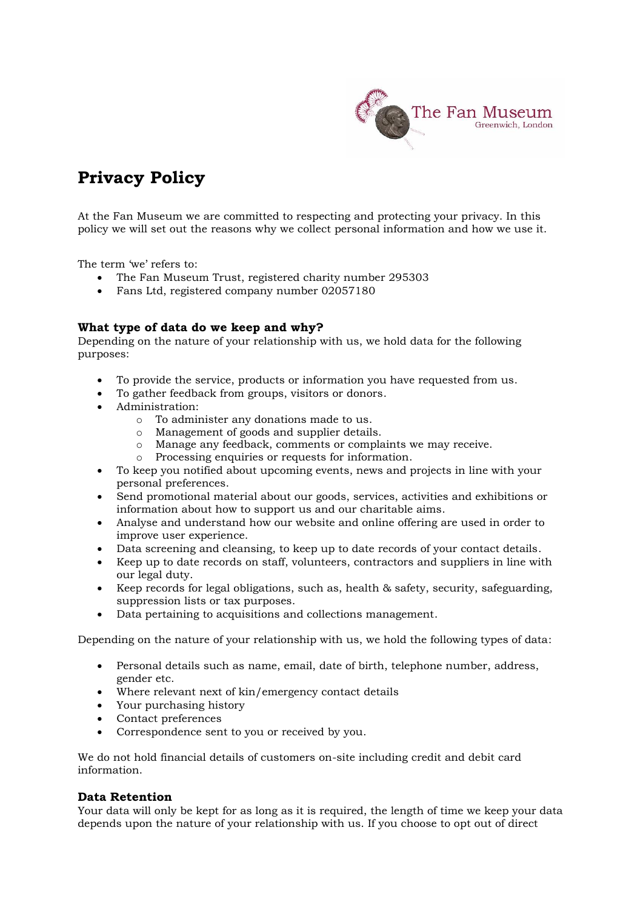

# **Privacy Policy**

At the Fan Museum we are committed to respecting and protecting your privacy. In this policy we will set out the reasons why we collect personal information and how we use it.

The term 'we' refers to:

- The Fan Museum Trust, registered charity number 295303
- Fans Ltd, registered company number 02057180

# **What type of data do we keep and why?**

Depending on the nature of your relationship with us, we hold data for the following purposes:

- To provide the service, products or information you have requested from us.
- To gather feedback from groups, visitors or donors.
- Administration:
	- o To administer any donations made to us.
	- o Management of goods and supplier details.
	- o Manage any feedback, comments or complaints we may receive.
	- o Processing enquiries or requests for information.
- To keep you notified about upcoming events, news and projects in line with your personal preferences.
- Send promotional material about our goods, services, activities and exhibitions or information about how to support us and our charitable aims.
- Analyse and understand how our website and online offering are used in order to improve user experience.
- Data screening and cleansing, to keep up to date records of your contact details.
- Keep up to date records on staff, volunteers, contractors and suppliers in line with our legal duty.
- Keep records for legal obligations, such as, health & safety, security, safeguarding, suppression lists or tax purposes.
- Data pertaining to acquisitions and collections management.

Depending on the nature of your relationship with us, we hold the following types of data:

- Personal details such as name, email, date of birth, telephone number, address, gender etc.
- Where relevant next of kin/emergency contact details
- Your purchasing history
- Contact preferences
- Correspondence sent to you or received by you.

We do not hold financial details of customers on-site including credit and debit card information.

# **Data Retention**

Your data will only be kept for as long as it is required, the length of time we keep your data depends upon the nature of your relationship with us. If you choose to opt out of direct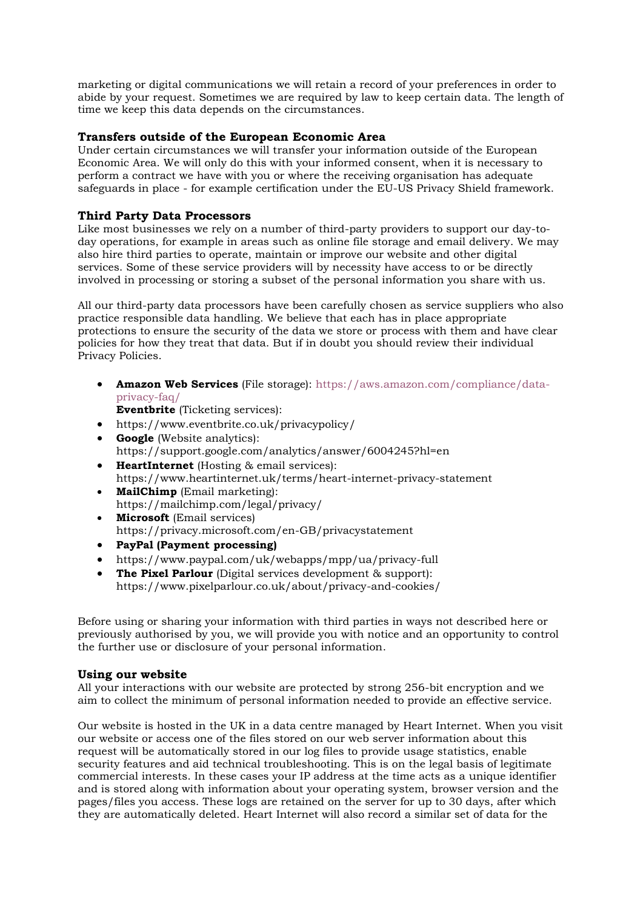marketing or digital communications we will retain a record of your preferences in order to abide by your request. Sometimes we are required by law to keep certain data. The length of time we keep this data depends on the circumstances.

# **Transfers outside of the European Economic Area**

Under certain circumstances we will transfer your information outside of the European Economic Area. We will only do this with your informed consent, when it is necessary to perform a contract we have with you or where the receiving organisation has adequate safeguards in place - for example certification under the EU-US Privacy Shield framework.

# **Third Party Data Processors**

Like most businesses we rely on a number of third-party providers to support our day-today operations, for example in areas such as online file storage and email delivery. We may also hire third parties to operate, maintain or improve our website and other digital services. Some of these service providers will by necessity have access to or be directly involved in processing or storing a subset of the personal information you share with us.

All our third-party data processors have been carefully chosen as service suppliers who also practice responsible data handling. We believe that each has in place appropriate protections to ensure the security of the data we store or process with them and have clear policies for how they treat that data. But if in doubt you should review their individual Privacy Policies.

• **Amazon Web Services** (File storage): [https://aws.amazon.com/compliance/data](https://aws.amazon.com/compliance/data-privacy-faq/)[privacy-faq/](https://aws.amazon.com/compliance/data-privacy-faq/)

**Eventbrite** (Ticketing services):

- https://www.eventbrite.co.uk/privacypolicy/
- **Google** (Website analytics): https://support.google.com/analytics/answer/6004245?hl=en
- **HeartInternet** (Hosting & email services): https://www.heartinternet.uk/terms/heart-internet-privacy-statement
- **MailChimp** (Email marketing): <https://mailchimp.com/legal/privacy/>
- **Microsoft** (Email services) <https://privacy.microsoft.com/en-GB/privacystatement>
- **PayPal (Payment processing)**
- https://www.paypal.com/uk/webapps/mpp/ua/privacy-full
- **The Pixel Parlour** (Digital services development & support): https://www.pixelparlour.co.uk/about/privacy-and-cookies/

Before using or sharing your information with third parties in ways not described here or previously authorised by you, we will provide you with notice and an opportunity to control the further use or disclosure of your personal information.

# **Using our website**

All your interactions with our website are protected by strong 256-bit encryption and we aim to collect the minimum of personal information needed to provide an effective service.

Our website is hosted in the UK in a data centre managed by Heart Internet. When you visit our website or access one of the files stored on our web server information about this request will be automatically stored in our log files to provide usage statistics, enable security features and aid technical troubleshooting. This is on the legal basis of legitimate commercial interests. In these cases your IP address at the time acts as a unique identifier and is stored along with information about your operating system, browser version and the pages/files you access. These logs are retained on the server for up to 30 days, after which they are automatically deleted. Heart Internet will also record a similar set of data for the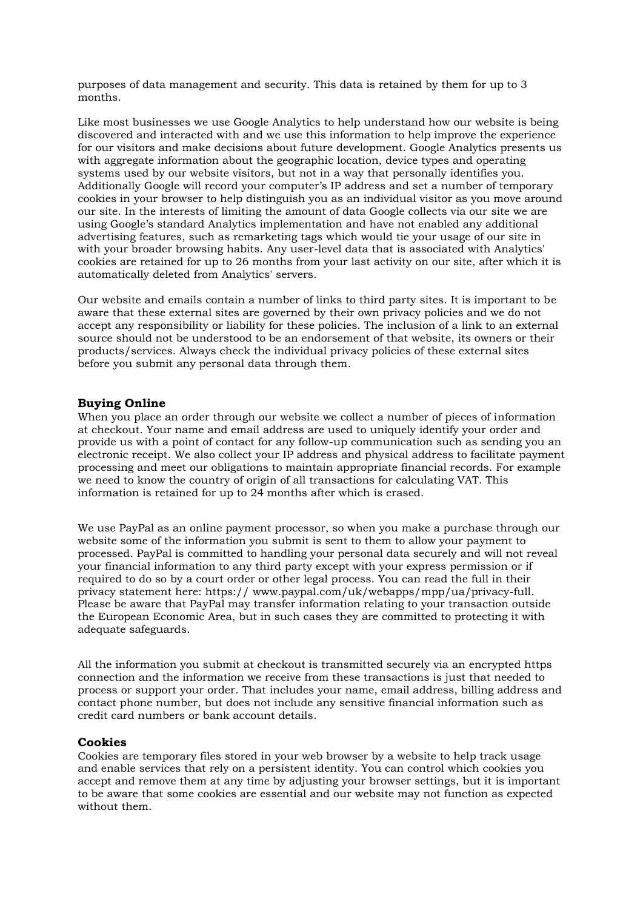purposes of data management and security. This data is retained by them for up to 3 months.

Like most businesses we use Google Analytics to help understand how our website is being discovered and interacted with and we use this information to help improve the experience for our visitors and make decisions about future development. Google Analytics presents us with aggregate information about the geographic location, device types and operating systems used by our website visitors, but not in a way that personally identifies you. Additionally Google will record your computer's IP address and set a number of temporary cookies in your browser to help distinguish you as an individual visitor as you move around our site. In the interests of limiting the amount of data Google collects via our site we are using Google's standard Analytics implementation and have not enabled any additional advertising features, such as remarketing tags which would tie your usage of our site in with your broader browsing habits. Any user-level data that is associated with Analytics' cookies are retained for up to 26 months from your last activity on our site, after which it is automatically deleted from Analytics' servers.

Our website and emails contain a number of links to third party sites. It is important to be aware that these external sites are governed by their own privacy policies and we do not accept any responsibility or liability for these policies. The inclusion of a link to an external source should not be understood to be an endorsement of that website, its owners or their products/services. Always check the individual privacy policies of these external sites before you submit any personal data through them.

#### **Buying Online**

When you place an order through our website we collect a number of pieces of information at checkout. Your name and email address are used to uniquely identify your order and provide us with a point of contact for any follow-up communication such as sending you an electronic receipt. We also collect your IP address and physical address to facilitate payment processing and meet our obligations to maintain appropriate financial records. For example we need to know the country of origin of all transactions for calculating VAT. This information is retained for up to 24 months after which is erased.

We use PayPal as an online payment processor, so when you make a purchase through our website some of the information you submit is sent to them to allow your payment to processed. PayPal is committed to handling your personal data securely and will not reveal your financial information to any third party except with your express permission or if required to do so by a court order or other legal process. You can read the full in their privacy statement here: https:// www.paypal.com/uk/webapps/mpp/ua/privacy-full. Please be aware that PayPal may transfer information relating to your transaction outside the European Economic Area, but in such cases they are committed to protecting it with adequate safeguards.

All the information you submit at checkout is transmitted securely via an encrypted https connection and the information we receive from these transactions is just that needed to process or support your order. That includes your name, email address, billing address and contact phone number, but does not include any sensitive financial information such as credit card numbers or bank account details.

#### **Cookies**

Cookies are temporary files stored in your web browser by a website to help track usage and enable services that rely on a persistent identity. You can control which cookies you accept and remove them at any time by adjusting your browser settings, but it is important to be aware that some cookies are essential and our website may not function as expected without them.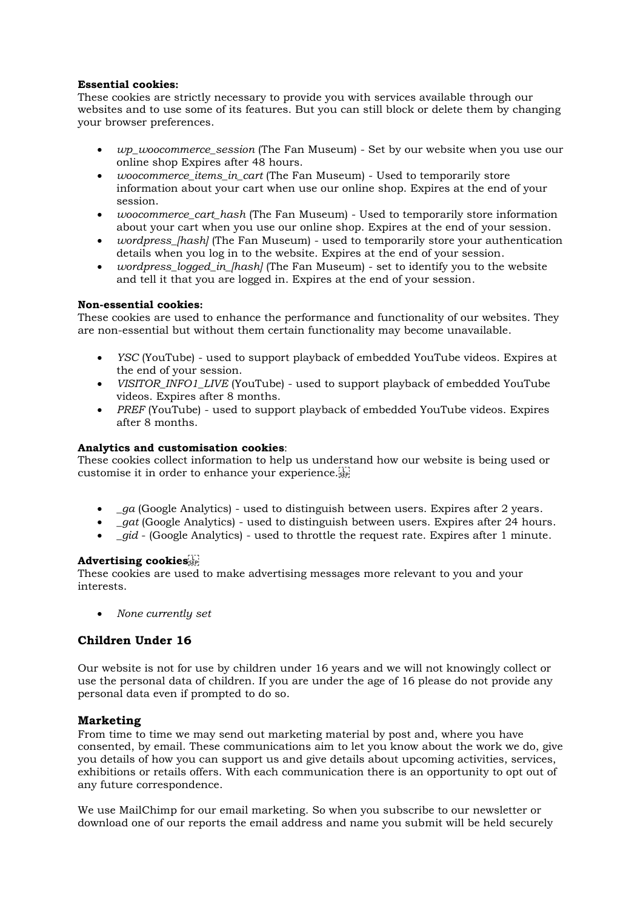# **Essential cookies:**

These cookies are strictly necessary to provide you with services available through our websites and to use some of its features. But you can still block or delete them by changing your browser preferences.

- *wp\_woocommerce\_session* (The Fan Museum) Set by our website when you use our online shop Expires after 48 hours.
- *woocommerce\_items\_in\_cart* (The Fan Museum) Used to temporarily store information about your cart when use our online shop. Expires at the end of your session.
- *woocommerce\_cart\_hash* (The Fan Museum) Used to temporarily store information about your cart when you use our online shop. Expires at the end of your session.
- *wordpress\_[hash]* (The Fan Museum) used to temporarily store your authentication details when you log in to the website. Expires at the end of your session.
- *wordpress\_logged\_in\_[hash]* (The Fan Museum) set to identify you to the website and tell it that you are logged in. Expires at the end of your session.

## **Non-essential cookies:**

These cookies are used to enhance the performance and functionality of our websites. They are non-essential but without them certain functionality may become unavailable.

- *YSC* (YouTube) used to support playback of embedded YouTube videos. Expires at the end of your session.
- *VISITOR\_INFO1\_LIVE* (YouTube) used to support playback of embedded YouTube videos. Expires after 8 months.
- *PREF* (YouTube) used to support playback of embedded YouTube videos. Expires after 8 months.

## **Analytics and customisation cookies**:

These cookies collect information to help us understand how our website is being used or customise it in order to enhance your experience.

- *\_ga* (Google Analytics) used to distinguish between users. Expires after 2 years.
- *\_gat* (Google Analytics) used to distinguish between users. Expires after 24 hours.
- *qid* (Google Analytics) used to throttle the request rate. Expires after 1 minute.

# **Advertising cookies**

These cookies are used to make advertising messages more relevant to you and your interests.

• *None currently set*

# **Children Under 16**

Our website is not for use by children under 16 years and we will not knowingly collect or use the personal data of children. If you are under the age of 16 please do not provide any personal data even if prompted to do so.

# **Marketing**

From time to time we may send out marketing material by post and, where you have consented, by email. These communications aim to let you know about the work we do, give you details of how you can support us and give details about upcoming activities, services, exhibitions or retails offers. With each communication there is an opportunity to opt out of any future correspondence.

We use MailChimp for our email marketing. So when you subscribe to our newsletter or download one of our reports the email address and name you submit will be held securely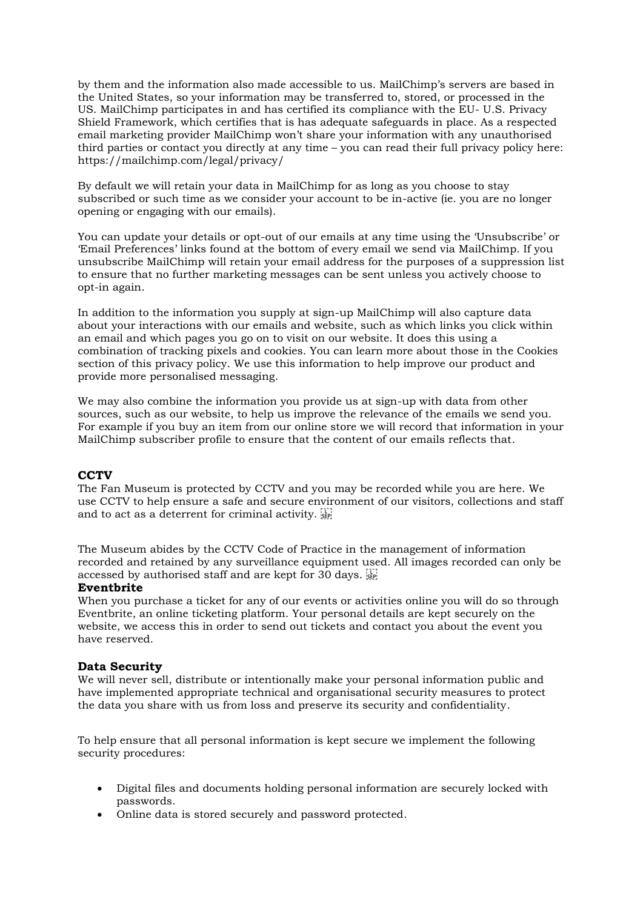by them and the information also made accessible to us. MailChimp's servers are based in the United States, so your information may be transferred to, stored, or processed in the US. MailChimp participates in and has certified its compliance with the EU- U.S. Privacy Shield Framework, which certifies that is has adequate safeguards in place. As a respected email marketing provider MailChimp won't share your information with any unauthorised third parties or contact you directly at any time – you can read their full privacy policy here: https://mailchimp.com/legal/privacy/

By default we will retain your data in MailChimp for as long as you choose to stay subscribed or such time as we consider your account to be in-active (ie. you are no longer opening or engaging with our emails).

You can update your details or opt-out of our emails at any time using the 'Unsubscribe' or 'Email Preferences' links found at the bottom of every email we send via MailChimp. If you unsubscribe MailChimp will retain your email address for the purposes of a suppression list to ensure that no further marketing messages can be sent unless you actively choose to opt-in again.

In addition to the information you supply at sign-up MailChimp will also capture data about your interactions with our emails and website, such as which links you click within an email and which pages you go on to visit on our website. It does this using a combination of tracking pixels and cookies. You can learn more about those in the Cookies section of this privacy policy. We use this information to help improve our product and provide more personalised messaging.

We may also combine the information you provide us at sign-up with data from other sources, such as our website, to help us improve the relevance of the emails we send you. For example if you buy an item from our online store we will record that information in your MailChimp subscriber profile to ensure that the content of our emails reflects that.

# **CCTV**

The Fan Museum is protected by CCTV and you may be recorded while you are here. We use CCTV to help ensure a safe and secure environment of our visitors, collections and staff and to act as a deterrent for criminal activity.

The Museum abides by the CCTV Code of Practice in the management of information recorded and retained by any surveillance equipment used. All images recorded can only be accessed by authorised staff and are kept for 30 days.

## **Eventbrite**

When you purchase a ticket for any of our events or activities online you will do so through Eventbrite, an online ticketing platform. Your personal details are kept securely on the website, we access this in order to send out tickets and contact you about the event you have reserved.

#### **Data Security**

We will never sell, distribute or intentionally make your personal information public and have implemented appropriate technical and organisational security measures to protect the data you share with us from loss and preserve its security and confidentiality.

To help ensure that all personal information is kept secure we implement the following security procedures:

- Digital files and documents holding personal information are securely locked with passwords.
- Online data is stored securely and password protected.